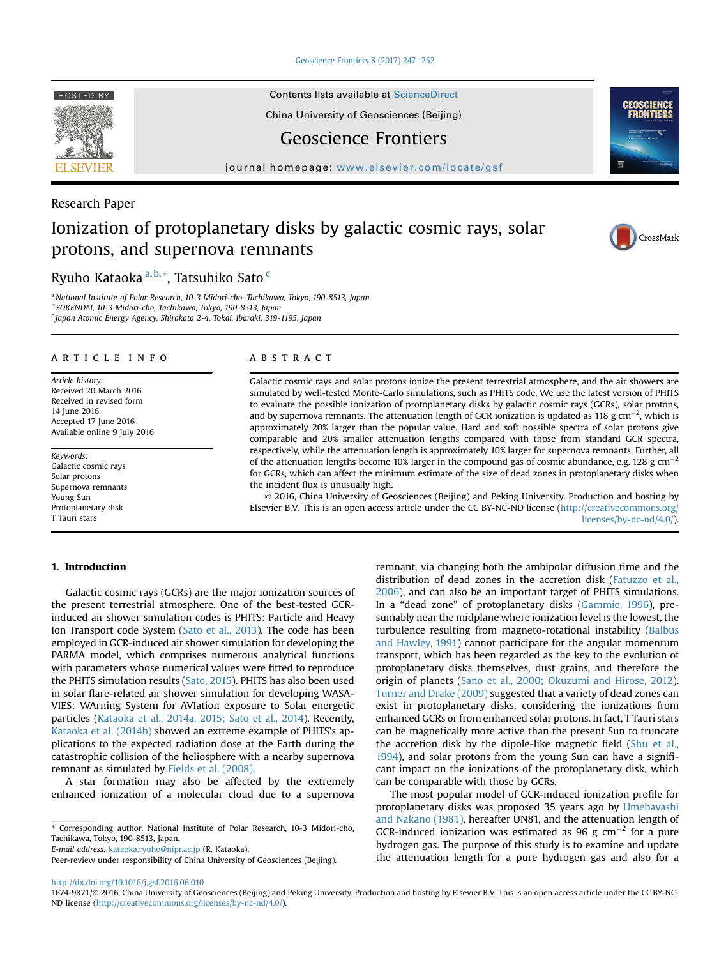[Geoscience Frontiers 8 \(2017\) 247](http://dx.doi.org/10.1016/j.gsf.2016.06.010)-[252](http://dx.doi.org/10.1016/j.gsf.2016.06.010)

HOSTED BY Contents lists available at [ScienceDirect](www.sciencedirect.com/science/journal/16749871)

China University of Geosciences (Beijing)

## Geoscience Frontiers

journal homepage: [www.elsevier.com/locate/gsf](http://www.elsevier.com/locate/gsf)

### Research Paper

# Ionization of protoplanetary disks by galactic cosmic rays, solar protons, and supernova remnants

## Ryuho Kataoka  $a,b,*$ , Tatsuhiko Sato  $c$

<sup>a</sup> National Institute of Polar Research, 10-3 Midori-cho, Tachikawa, Tokyo, 190-8513, Japan <sup>b</sup> SOKENDAI, 10-3 Midori-cho, Tachikawa, Tokyo, 190-8513, Japan <sup>c</sup> Japan Atomic Energy Agency, Shirakata 2-4, Tokai, Ibaraki, 319-1195, Japan

#### article info

Article history: Received 20 March 2016 Received in revised form 14 June 2016 Accepted 17 June 2016 Available online 9 July 2016

Keywords: Galactic cosmic rays Solar protons Supernova remnants Young Sun Protoplanetary disk T Tauri stars

#### 1. Introduction

Galactic cosmic rays (GCRs) are the major ionization sources of the present terrestrial atmosphere. One of the best-tested GCRinduced air shower simulation codes is PHITS: Particle and Heavy Ion Transport code System ([Sato et al., 2013](#page-5-0)). The code has been employed in GCR-induced air shower simulation for developing the PARMA model, which comprises numerous analytical functions with parameters whose numerical values were fitted to reproduce the PHITS simulation results ([Sato, 2015](#page-5-0)). PHITS has also been used in solar flare-related air shower simulation for developing WASA-VIES: WArning System for AVIation exposure to Solar energetic particles ([Kataoka et al., 2014a, 2015; Sato et al., 2014\)](#page-5-0). Recently, [Kataoka et al. \(2014b\)](#page-5-0) showed an extreme example of PHITS's applications to the expected radiation dose at the Earth during the catastrophic collision of the heliosphere with a nearby supernova remnant as simulated by [Fields et al. \(2008\).](#page-5-0)

A star formation may also be affected by the extremely enhanced ionization of a molecular cloud due to a supernova

E-mail address: [kataoka.ryuho@nipr.ac.jp](mailto:kataoka.ryuho@nipr.ac.jp) (R. Kataoka).

### ABSTRACT

Galactic cosmic rays and solar protons ionize the present terrestrial atmosphere, and the air showers are simulated by well-tested Monte-Carlo simulations, such as PHITS code. We use the latest version of PHITS to evaluate the possible ionization of protoplanetary disks by galactic cosmic rays (GCRs), solar protons, and by supernova remnants. The attenuation length of GCR ionization is updated as 118 g cm<sup>-2</sup>, which is approximately 20% larger than the popular value. Hard and soft possible spectra of solar protons give comparable and 20% smaller attenuation lengths compared with those from standard GCR spectra, respectively, while the attenuation length is approximately 10% larger for supernova remnants. Further, all of the attenuation lengths become 10% larger in the compound gas of cosmic abundance, e.g. 128 g cm<sup>-2</sup> for GCRs, which can affect the minimum estimate of the size of dead zones in protoplanetary disks when the incident flux is unusually high.

 2016, China University of Geosciences (Beijing) and Peking University. Production and hosting by Elsevier B.V. This is an open access article under the CC BY-NC-ND license ([http://creativecommons.org/](http://creativecommons.org/licenses/by-nc-nd/4.0/) [licenses/by-nc-nd/4.0/](http://creativecommons.org/licenses/by-nc-nd/4.0/)).

> remnant, via changing both the ambipolar diffusion time and the distribution of dead zones in the accretion disk [\(Fatuzzo et al.,](#page-5-0) [2006\)](#page-5-0), and can also be an important target of PHITS simulations. In a "dead zone" of protoplanetary disks ([Gammie, 1996\)](#page-5-0), presumably near the midplane where ionization level is the lowest, the turbulence resulting from magneto-rotational instability ([Balbus](#page-5-0) [and Hawley, 1991](#page-5-0)) cannot participate for the angular momentum transport, which has been regarded as the key to the evolution of protoplanetary disks themselves, dust grains, and therefore the origin of planets [\(Sano et al., 2000; Okuzumi and Hirose, 2012\)](#page-5-0). [Turner and Drake \(2009\)](#page-5-0) suggested that a variety of dead zones can exist in protoplanetary disks, considering the ionizations from enhanced GCRs or from enhanced solar protons. In fact, T Tauri stars can be magnetically more active than the present Sun to truncate the accretion disk by the dipole-like magnetic field ([Shu et al.,](#page-5-0) [1994\)](#page-5-0), and solar protons from the young Sun can have a significant impact on the ionizations of the protoplanetary disk, which can be comparable with those by GCRs.

> The most popular model of GCR-induced ionization profile for protoplanetary disks was proposed 35 years ago by [Umebayashi](#page-5-0) [and Nakano \(1981\),](#page-5-0) hereafter UN81, and the attenuation length of GCR-induced ionization was estimated as 96 g  $cm^{-2}$  for a pure hydrogen gas. The purpose of this study is to examine and update the attenuation length for a pure hydrogen gas and also for a

<http://dx.doi.org/10.1016/j.gsf.2016.06.010>







<sup>\*</sup> Corresponding author. National Institute of Polar Research, 10-3 Midori-cho, Tachikawa, Tokyo, 190-8513, Japan.

Peer-review under responsibility of China University of Geosciences (Beijing).

<sup>1674-9871/© 2016,</sup> China University of Geosciences (Beijing) and Peking University. Production and hosting by Elsevier B.V. This is an open access article under the CC BY-NC-ND license ([http://creativecommons.org/licenses/by-nc-nd/4.0/\)](http://creativecommons.org/licenses/by-nc-nd/4.0/).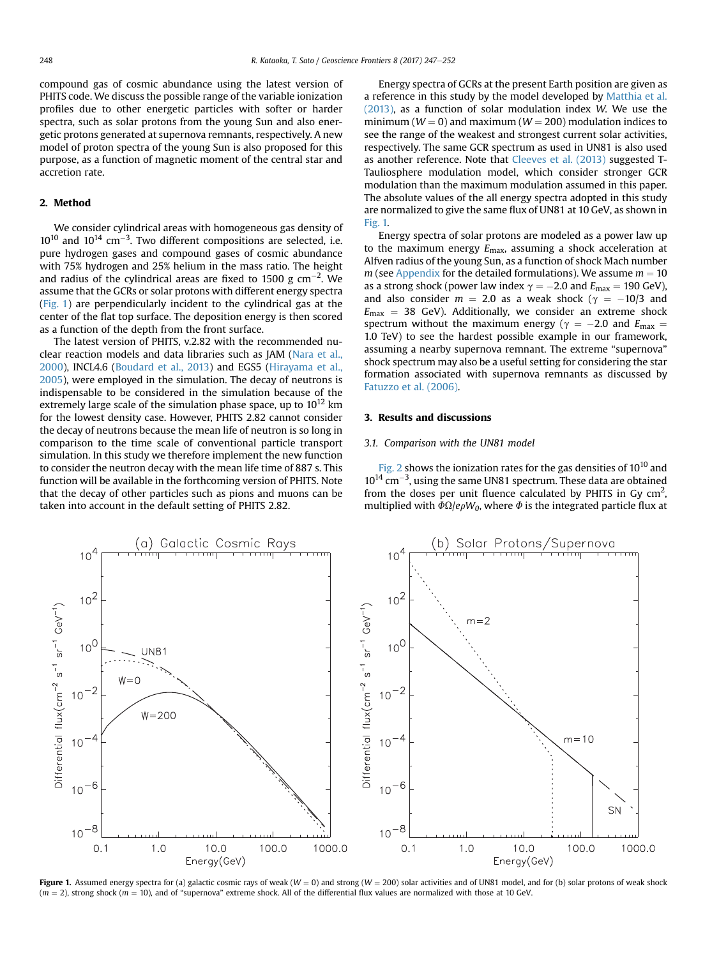<span id="page-1-0"></span>compound gas of cosmic abundance using the latest version of PHITS code. We discuss the possible range of the variable ionization profiles due to other energetic particles with softer or harder spectra, such as solar protons from the young Sun and also energetic protons generated at supernova remnants, respectively. A new model of proton spectra of the young Sun is also proposed for this purpose, as a function of magnetic moment of the central star and accretion rate.

#### 2. Method

We consider cylindrical areas with homogeneous gas density of  $10^{10}$  and  $10^{14}$  cm<sup>-3</sup>. Two different compositions are selected, i.e. pure hydrogen gases and compound gases of cosmic abundance with 75% hydrogen and 25% helium in the mass ratio. The height and radius of the cylindrical areas are fixed to 1500 g cm<sup>-2</sup>. We assume that the GCRs or solar protons with different energy spectra (Fig. 1) are perpendicularly incident to the cylindrical gas at the center of the flat top surface. The deposition energy is then scored as a function of the depth from the front surface.

The latest version of PHITS, v.2.82 with the recommended nuclear reaction models and data libraries such as JAM [\(Nara et al.,](#page-5-0) [2000](#page-5-0)), INCL4.6 ([Boudard et al., 2013](#page-5-0)) and EGS5 [\(Hirayama et al.,](#page-5-0) [2005](#page-5-0)), were employed in the simulation. The decay of neutrons is indispensable to be considered in the simulation because of the extremely large scale of the simulation phase space, up to  $10^{12}$  km for the lowest density case. However, PHITS 2.82 cannot consider the decay of neutrons because the mean life of neutron is so long in comparison to the time scale of conventional particle transport simulation. In this study we therefore implement the new function to consider the neutron decay with the mean life time of 887 s. This function will be available in the forthcoming version of PHITS. Note that the decay of other particles such as pions and muons can be taken into account in the default setting of PHITS 2.82.

Energy spectra of GCRs at the present Earth position are given as a reference in this study by the model developed by [Matthia et al.](#page-5-0) [\(2013\)](#page-5-0), as a function of solar modulation index W. We use the minimum ( $W = 0$ ) and maximum ( $W = 200$ ) modulation indices to see the range of the weakest and strongest current solar activities, respectively. The same GCR spectrum as used in UN81 is also used as another reference. Note that [Cleeves et al. \(2013\)](#page-5-0) suggested T-Tauliosphere modulation model, which consider stronger GCR modulation than the maximum modulation assumed in this paper. The absolute values of the all energy spectra adopted in this study are normalized to give the same flux of UN81 at 10 GeV, as shown in Fig. 1.

Energy spectra of solar protons are modeled as a power law up to the maximum energy  $E_{\text{max}}$ , assuming a shock acceleration at Alfven radius of the young Sun, as a function of shock Mach number  $m$  (see [Appendix](#page-5-0) for the detailed formulations). We assume  $m = 10$ as a strong shock (power law index  $\gamma = -2.0$  and  $E_{\text{max}} = 190 \text{ GeV}$ ), and also consider  $m = 2.0$  as a weak shock ( $\gamma = -10/3$  and  $E_{\text{max}}$  = 38 GeV). Additionally, we consider an extreme shock spectrum without the maximum energy ( $\gamma = -2.0$  and  $E_{\text{max}} =$ 1.0 TeV) to see the hardest possible example in our framework, assuming a nearby supernova remnant. The extreme "supernova" shock spectrum may also be a useful setting for considering the star formation associated with supernova remnants as discussed by [Fatuzzo et al. \(2006\)](#page-5-0).

#### 3. Results and discussions

#### 3.1. Comparison with the UN81 model

[Fig. 2](#page-2-0) shows the ionization rates for the gas densities of  $10^{10}$  and  $10^{14}$  cm<sup>-3</sup>, using the same UN81 spectrum. These data are obtained from the doses per unit fluence calculated by PHITS in Gy  $\text{cm}^2$ , multiplied with  $\Phi\Omega/e\rho W_0$ , where  $\Phi$  is the integrated particle flux at



Figure 1. Assumed energy spectra for (a) galactic cosmic rays of weak ( $W = 0$ ) and strong ( $W = 200$ ) solar activities and of UN81 model, and for (b) solar protons of weak shock  $(m = 2)$ , strong shock  $(m = 10)$ , and of "supernova" extreme shock. All of the differential flux values are normalized with those at 10 GeV.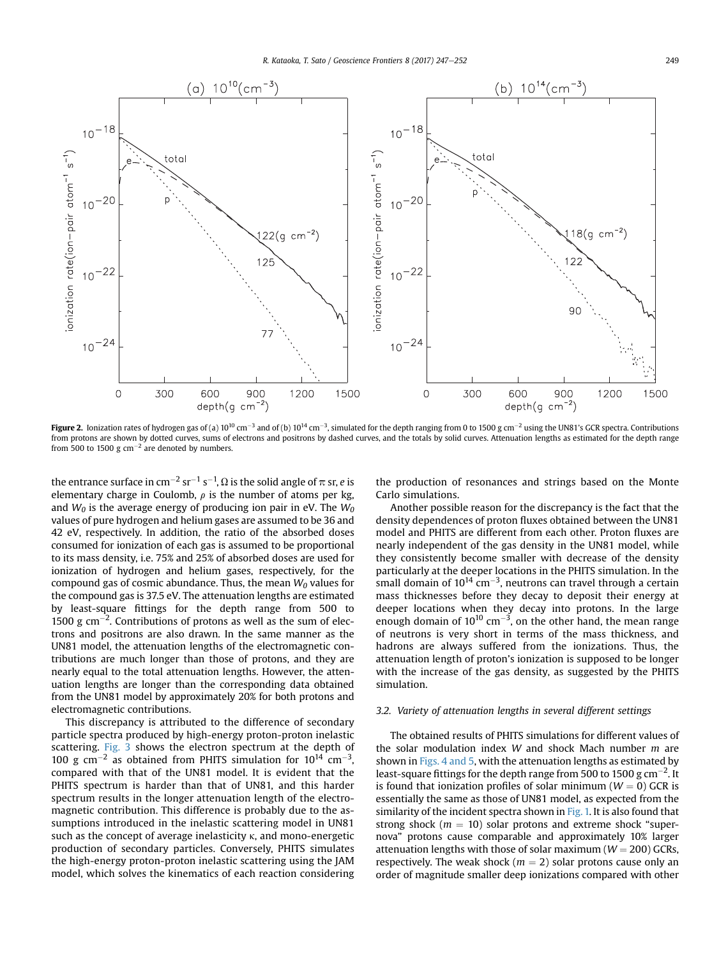<span id="page-2-0"></span>

Figure 2. Ionization rates of hydrogen gas of (a) 10<sup>10</sup> cm<sup>-3</sup> and of (b) 10<sup>14</sup> cm<sup>-3</sup>, simulated for the depth ranging from 0 to 1500 g cm<sup>-2</sup> using the UN81's GCR spectra. Contributions from protons are shown by dotted curves, sums of electrons and positrons by dashed curves, and the totals by solid curves. Attenuation lengths as estimated for the depth range from 500 to 1500 g  $cm^{-2}$  are denoted by numbers.

the entrance surface in cm $^{-2}$  sr $^{-1}$  s $^{-1}$ ,  $\Omega$  is the solid angle of  $\pi$  sr,  $e$  is elementary charge in Coulomb,  $\rho$  is the number of atoms per kg, and  $W_0$  is the average energy of producing ion pair in eV. The  $W_0$ values of pure hydrogen and helium gases are assumed to be 36 and 42 eV, respectively. In addition, the ratio of the absorbed doses consumed for ionization of each gas is assumed to be proportional to its mass density, i.e. 75% and 25% of absorbed doses are used for ionization of hydrogen and helium gases, respectively, for the compound gas of cosmic abundance. Thus, the mean  $W_0$  values for the compound gas is 37.5 eV. The attenuation lengths are estimated by least-square fittings for the depth range from 500 to 1500 g  $\text{cm}^{-2}$ . Contributions of protons as well as the sum of electrons and positrons are also drawn. In the same manner as the UN81 model, the attenuation lengths of the electromagnetic contributions are much longer than those of protons, and they are nearly equal to the total attenuation lengths. However, the attenuation lengths are longer than the corresponding data obtained from the UN81 model by approximately 20% for both protons and electromagnetic contributions.

This discrepancy is attributed to the difference of secondary particle spectra produced by high-energy proton-proton inelastic scattering. [Fig. 3](#page-3-0) shows the electron spectrum at the depth of 100 g cm<sup>-2</sup> as obtained from PHITS simulation for  $10^{14}$  cm<sup>-3</sup>, compared with that of the UN81 model. It is evident that the PHITS spectrum is harder than that of UN81, and this harder spectrum results in the longer attenuation length of the electromagnetic contribution. This difference is probably due to the assumptions introduced in the inelastic scattering model in UN81 such as the concept of average inelasticity  $\kappa$ , and mono-energetic production of secondary particles. Conversely, PHITS simulates the high-energy proton-proton inelastic scattering using the JAM model, which solves the kinematics of each reaction considering the production of resonances and strings based on the Monte Carlo simulations.

Another possible reason for the discrepancy is the fact that the density dependences of proton fluxes obtained between the UN81 model and PHITS are different from each other. Proton fluxes are nearly independent of the gas density in the UN81 model, while they consistently become smaller with decrease of the density particularly at the deeper locations in the PHITS simulation. In the small domain of  $10^{14}$  cm<sup>-3</sup>, neutrons can travel through a certain mass thicknesses before they decay to deposit their energy at deeper locations when they decay into protons. In the large enough domain of 10<sup>10</sup> cm<sup>-3</sup>, on the other hand, the mean range of neutrons is very short in terms of the mass thickness, and hadrons are always suffered from the ionizations. Thus, the attenuation length of proton's ionization is supposed to be longer with the increase of the gas density, as suggested by the PHITS simulation.

#### 3.2. Variety of attenuation lengths in several different settings

The obtained results of PHITS simulations for different values of the solar modulation index  $W$  and shock Mach number  $m$  are shown in [Figs. 4 and 5,](#page-3-0) with the attenuation lengths as estimated by least-square fittings for the depth range from 500 to 1500 g cm $^{-2}$ . It is found that ionization profiles of solar minimum ( $W = 0$ ) GCR is essentially the same as those of UN81 model, as expected from the similarity of the incident spectra shown in [Fig. 1.](#page-1-0) It is also found that strong shock ( $m = 10$ ) solar protons and extreme shock "supernova" protons cause comparable and approximately 10% larger attenuation lengths with those of solar maximum ( $W = 200$ ) GCRs, respectively. The weak shock ( $m = 2$ ) solar protons cause only an order of magnitude smaller deep ionizations compared with other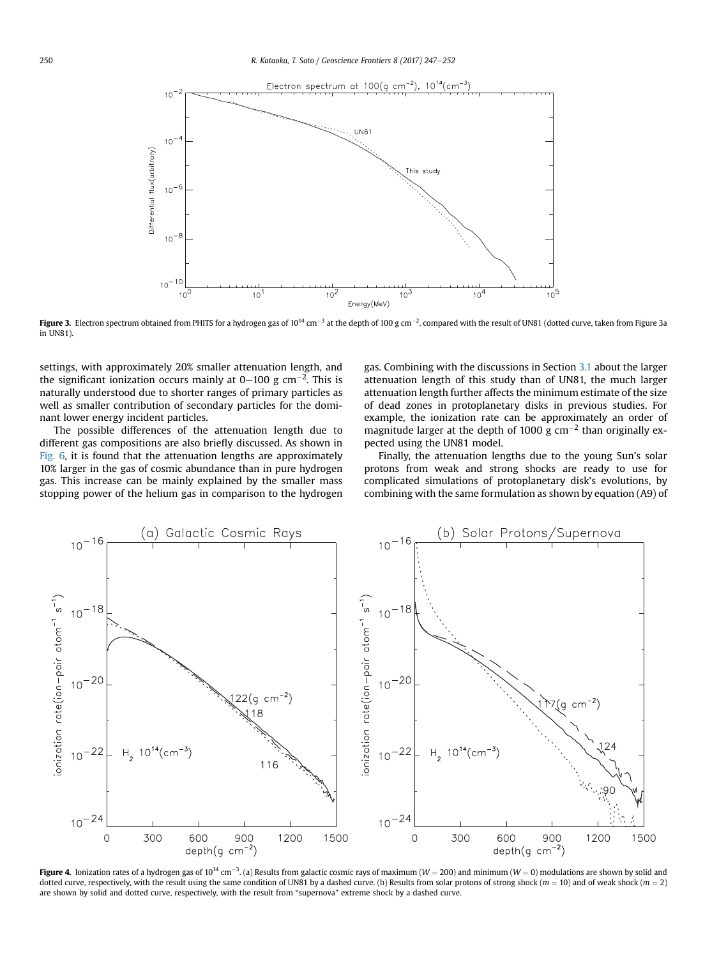<span id="page-3-0"></span>

Figure 3. Electron spectrum obtained from PHITS for a hydrogen gas of 10<sup>14</sup> cm<sup>-3</sup> at the depth of 100 g cm<sup>-2</sup>, compared with the result of UN81 (dotted curve, taken from Figure 3a in UN81).

settings, with approximately 20% smaller attenuation length, and the significant ionization occurs mainly at 0–100 g cm<sup>-2</sup>. This is naturally understood due to shorter ranges of primary particles as well as smaller contribution of secondary particles for the dominant lower energy incident particles.

The possible differences of the attenuation length due to different gas compositions are also briefly discussed. As shown in [Fig. 6,](#page-4-0) it is found that the attenuation lengths are approximately 10% larger in the gas of cosmic abundance than in pure hydrogen gas. This increase can be mainly explained by the smaller mass stopping power of the helium gas in comparison to the hydrogen gas. Combining with the discussions in Section [3.1](#page-1-0) about the larger attenuation length of this study than of UN81, the much larger attenuation length further affects the minimum estimate of the size of dead zones in protoplanetary disks in previous studies. For example, the ionization rate can be approximately an order of magnitude larger at the depth of 1000 g  $cm^{-2}$  than originally expected using the UN81 model.

Finally, the attenuation lengths due to the young Sun's solar protons from weak and strong shocks are ready to use for complicated simulations of protoplanetary disk's evolutions, by combining with the same formulation as shown by equation (A9) of



**Figure 4.** Ionization rates of a hydrogen gas of 10<sup>14</sup> cm<sup>-3</sup>. (a) Results from galactic cosmic rays of maximum (W = 200) and minimum (W = 0) modulations are shown by solid and dotted curve, respectively, with the result using the same condition of UN81 by a dashed curve. (b) Results from solar protons of strong shock ( $m = 10$ ) and of weak shock ( $m = 2$ ) are shown by solid and dotted curve, respectively, with the result from "supernova" extreme shock by a dashed curve.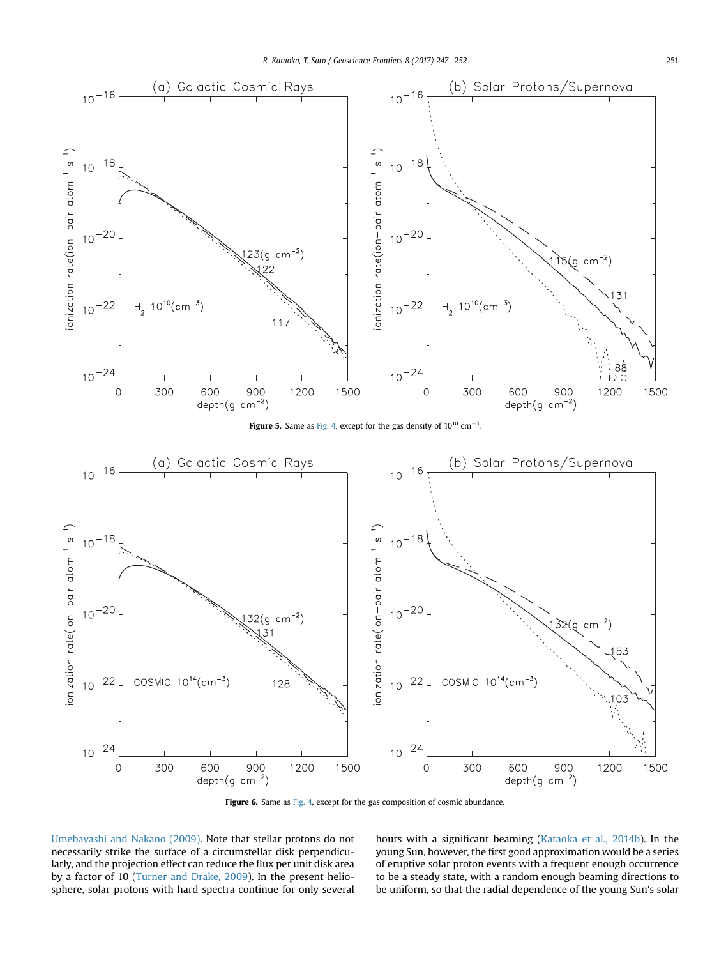<span id="page-4-0"></span>

Figure 6. Same as [Fig. 4,](#page-3-0) except for the gas composition of cosmic abundance.

[Umebayashi and Nakano \(2009\).](#page-5-0) Note that stellar protons do not necessarily strike the surface of a circumstellar disk perpendicularly, and the projection effect can reduce the flux per unit disk area by a factor of 10 ([Turner and Drake, 2009](#page-5-0)). In the present heliosphere, solar protons with hard spectra continue for only several hours with a significant beaming [\(Kataoka et al., 2014b](#page-5-0)). In the young Sun, however, the first good approximation would be a series of eruptive solar proton events with a frequent enough occurrence to be a steady state, with a random enough beaming directions to be uniform, so that the radial dependence of the young Sun's solar